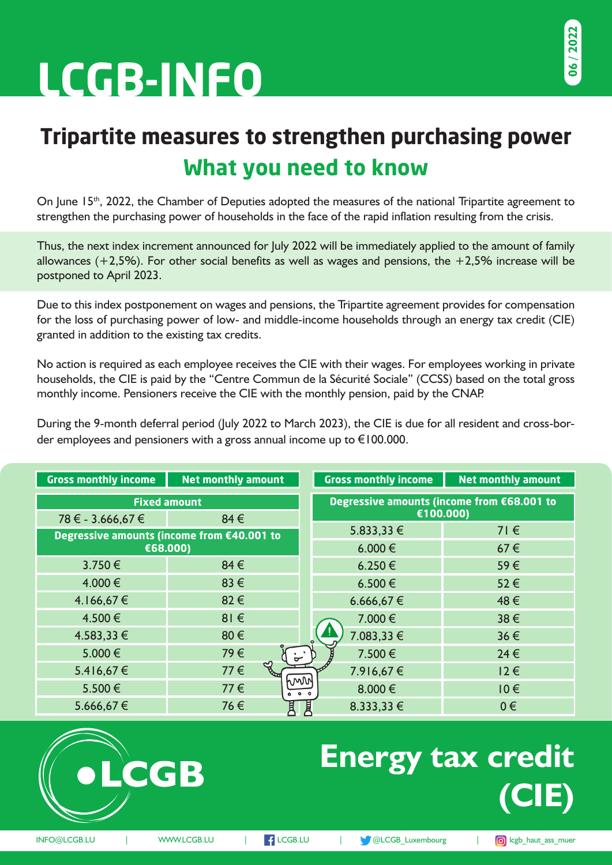# **LCGB-INFO**

## **Tripartite measures to strengthen purchasing power What you need to know**

On June 15<sup>th</sup>, 2022, the Chamber of Deputies adopted the measures of the national Tripartite agreement to strengthen the purchasing power of households in the face of the rapid inflation resulting from the crisis.

Thus, the next index increment announced for July 2022 will be immediately applied to the amount of family allowances  $(+2,5%)$ . For other social benefits as well as wages and pensions, the  $+2,5%$  increase will be postponed to April 2023.

Due to this index postponement on wages and pensions, the Tripartite agreement provides for compensation for the loss of purchasing power of low- and middle-income households through an energy tax credit (CIE) granted in addition to the existing tax credits.

No action is required as each employee receives the CIE with their wages. For employees working in private households, the CIE is paid by the "Centre Commun de la Sécurité Sociale" (CCSS) based on the total gross monthly income. Pensioners receive the CIE with the monthly pension, paid by the CNAP.

During the 9-month deferral period (July 2022 to March 2023), the CIE is due for all resident and cross-border employees and pensioners with a gross annual income up to €100.000.

| <b>Gross monthly income</b> | <b>Net monthly amount</b>                  | <b>Gross monthly income</b>                | <b>Net monthly amount</b> |
|-----------------------------|--------------------------------------------|--------------------------------------------|---------------------------|
| <b>Fixed amount</b>         |                                            | Degressive amounts (income from €68.001 to |                           |
| 78 € - 3.666,67 €           | 84€                                        |                                            | €100.000)                 |
|                             | Degressive amounts (income from €40.001 to | $5.833,33 \in$                             | $71 \in$                  |
| €68.000)                    |                                            | 6.000 €                                    | 67€                       |
| 3.750€                      | 84€                                        | $6.250 \in$                                | 59€                       |
| 4.000 €                     | 83€                                        | 6.500€                                     | 52€                       |
| 4.166,67€                   | 82€                                        | 6.666,67€                                  | 48€                       |
| 4.500€                      | $81 \in$                                   | 7.000 €                                    | $38 \in$                  |
| 4.583,33 €                  | 80€                                        | 7.083,33 €                                 | 36€                       |
| 5.000€                      | 79€                                        | 7.500€<br>$\mathcal{L}^{\mathcal{M}}$      | $24 \in$                  |
| 5.416,67€                   | ಳ<br>77€                                   | 7.916,67€                                  | $12 \in$                  |
| 5.500€                      | 77€                                        | hww<br>8.000€<br>000                       | $10 \in$                  |
| 5.666,67€                   | 76€<br>貫                                   | 圓<br>8.333,33 €                            | $0 \in$                   |



CGB